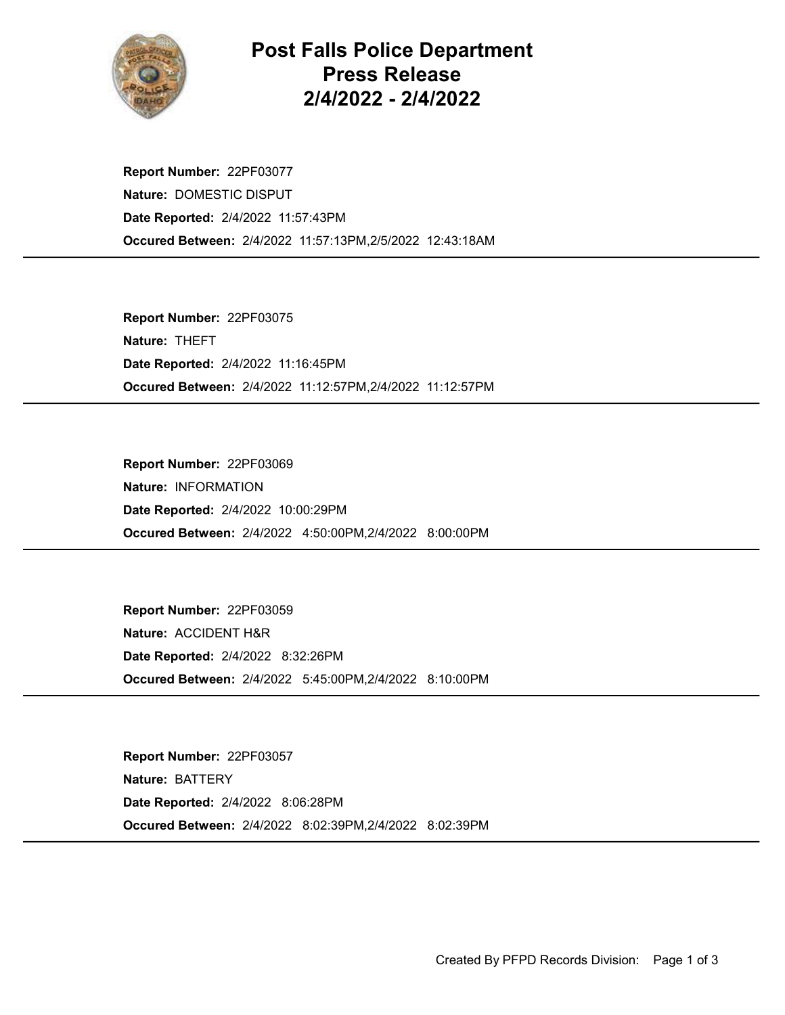

## Post Falls Police Department Press Release 2/4/2022 - 2/4/2022

Occured Between: 2/4/2022 11:57:13PM,2/5/2022 12:43:18AM Report Number: 22PF03077 Nature: DOMESTIC DISPUT Date Reported: 2/4/2022 11:57:43PM

Occured Between: 2/4/2022 11:12:57PM,2/4/2022 11:12:57PM Report Number: 22PF03075 Nature: THEFT Date Reported: 2/4/2022 11:16:45PM

Occured Between: 2/4/2022 4:50:00PM,2/4/2022 8:00:00PM Report Number: 22PF03069 Nature: INFORMATION Date Reported: 2/4/2022 10:00:29PM

Occured Between: 2/4/2022 5:45:00PM,2/4/2022 8:10:00PM Report Number: 22PF03059 Nature: ACCIDENT H&R Date Reported: 2/4/2022 8:32:26PM

Occured Between: 2/4/2022 8:02:39PM,2/4/2022 8:02:39PM Report Number: 22PF03057 Nature: BATTERY Date Reported: 2/4/2022 8:06:28PM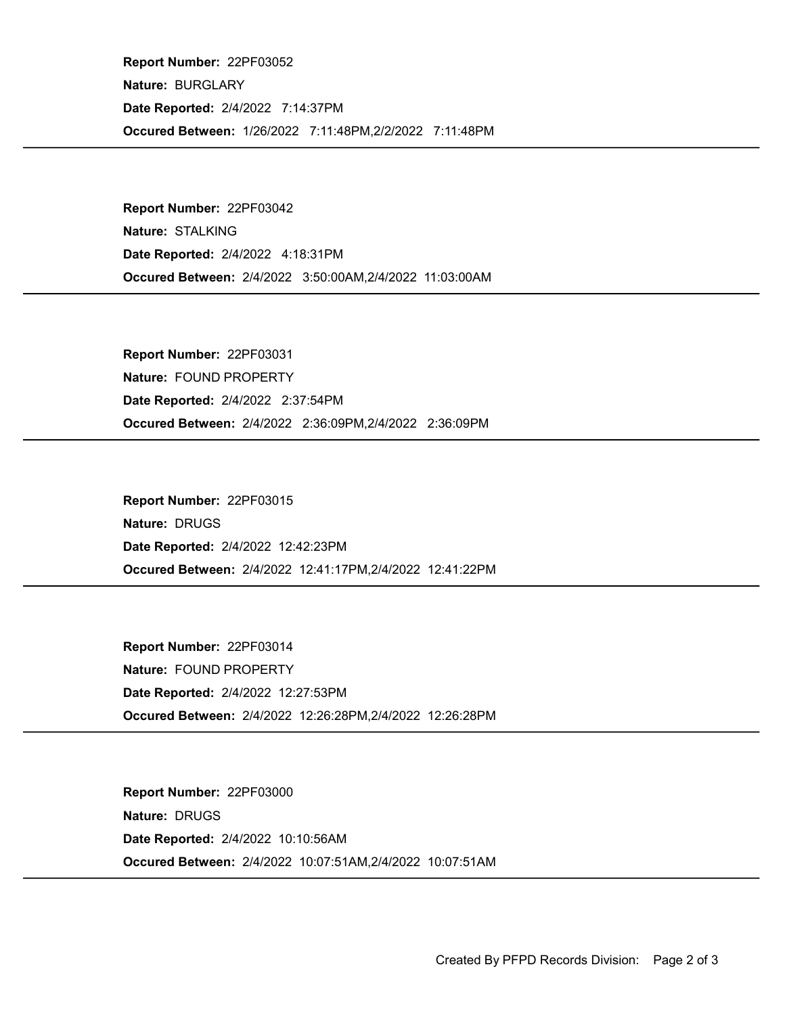Occured Between: 1/26/2022 7:11:48PM,2/2/2022 7:11:48PM Report Number: 22PF03052 Nature: BURGLARY Date Reported: 2/4/2022 7:14:37PM

Occured Between: 2/4/2022 3:50:00AM,2/4/2022 11:03:00AM Report Number: 22PF03042 Nature: STALKING Date Reported: 2/4/2022 4:18:31PM

Occured Between: 2/4/2022 2:36:09PM,2/4/2022 2:36:09PM Report Number: 22PF03031 Nature: FOUND PROPERTY Date Reported: 2/4/2022 2:37:54PM

Occured Between: 2/4/2022 12:41:17PM,2/4/2022 12:41:22PM Report Number: 22PF03015 Nature: DRUGS Date Reported: 2/4/2022 12:42:23PM

Occured Between: 2/4/2022 12:26:28PM,2/4/2022 12:26:28PM Report Number: 22PF03014 Nature: FOUND PROPERTY Date Reported: 2/4/2022 12:27:53PM

Occured Between: 2/4/2022 10:07:51AM,2/4/2022 10:07:51AM Report Number: 22PF03000 Nature: DRUGS Date Reported: 2/4/2022 10:10:56AM